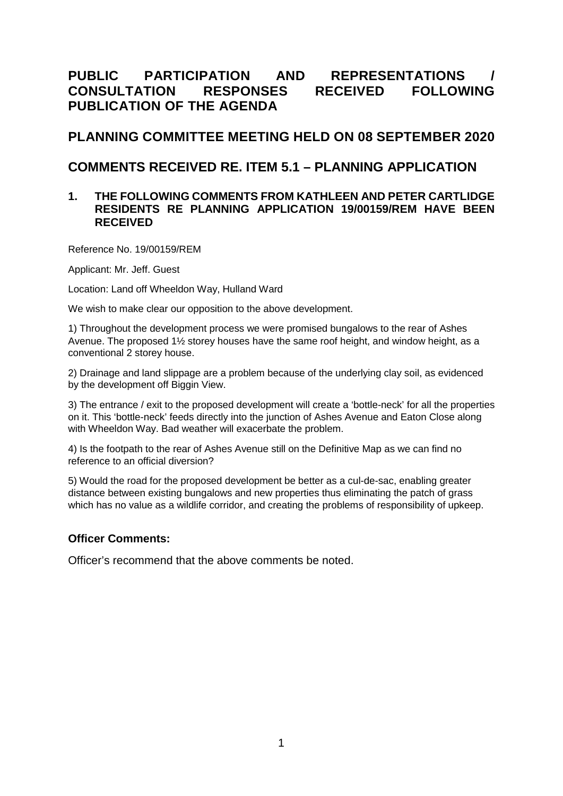# **PUBLIC PARTICIPATION AND REPRESENTATIONS / CONSULTATION RESPONSES RECEIVED FOLLOWING PUBLICATION OF THE AGENDA**

## **PLANNING COMMITTEE MEETING HELD ON 08 SEPTEMBER 2020**

# **COMMENTS RECEIVED RE. ITEM 5.1 – PLANNING APPLICATION**

#### **1. THE FOLLOWING COMMENTS FROM KATHLEEN AND PETER CARTLIDGE RESIDENTS RE PLANNING APPLICATION 19/00159/REM HAVE BEEN RECEIVED**

Reference No. 19/00159/REM

Applicant: Mr. Jeff. Guest

Location: Land off Wheeldon Way, Hulland Ward

We wish to make clear our opposition to the above development.

1) Throughout the development process we were promised bungalows to the rear of Ashes Avenue. The proposed 1½ storey houses have the same roof height, and window height, as a conventional 2 storey house.

2) Drainage and land slippage are a problem because of the underlying clay soil, as evidenced by the development off Biggin View.

3) The entrance / exit to the proposed development will create a 'bottle-neck' for all the properties on it. This 'bottle-neck' feeds directly into the junction of Ashes Avenue and Eaton Close along with Wheeldon Way. Bad weather will exacerbate the problem.

4) Is the footpath to the rear of Ashes Avenue still on the Definitive Map as we can find no reference to an official diversion?

5) Would the road for the proposed development be better as a cul-de-sac, enabling greater distance between existing bungalows and new properties thus eliminating the patch of grass which has no value as a wildlife corridor, and creating the problems of responsibility of upkeep.

### **Officer Comments:**

Officer's recommend that the above comments be noted.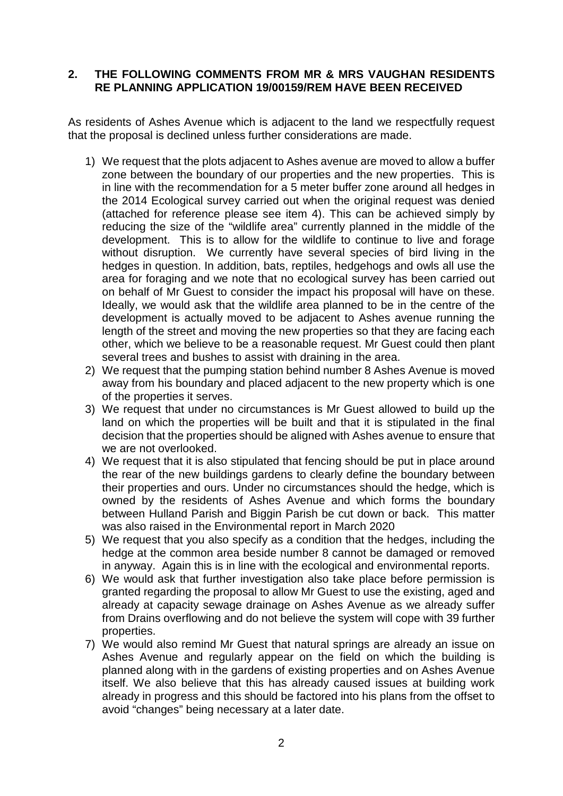### **2. THE FOLLOWING COMMENTS FROM MR & MRS VAUGHAN RESIDENTS RE PLANNING APPLICATION 19/00159/REM HAVE BEEN RECEIVED**

As residents of Ashes Avenue which is adjacent to the land we respectfully request that the proposal is declined unless further considerations are made.

- 1) We request that the plots adjacent to Ashes avenue are moved to allow a buffer zone between the boundary of our properties and the new properties. This is in line with the recommendation for a 5 meter buffer zone around all hedges in the 2014 Ecological survey carried out when the original request was denied (attached for reference please see item 4). This can be achieved simply by reducing the size of the "wildlife area" currently planned in the middle of the development. This is to allow for the wildlife to continue to live and forage without disruption. We currently have several species of bird living in the hedges in question. In addition, bats, reptiles, hedgehogs and owls all use the area for foraging and we note that no ecological survey has been carried out on behalf of Mr Guest to consider the impact his proposal will have on these. Ideally, we would ask that the wildlife area planned to be in the centre of the development is actually moved to be adjacent to Ashes avenue running the length of the street and moving the new properties so that they are facing each other, which we believe to be a reasonable request. Mr Guest could then plant several trees and bushes to assist with draining in the area.
- 2) We request that the pumping station behind number 8 Ashes Avenue is moved away from his boundary and placed adjacent to the new property which is one of the properties it serves.
- 3) We request that under no circumstances is Mr Guest allowed to build up the land on which the properties will be built and that it is stipulated in the final decision that the properties should be aligned with Ashes avenue to ensure that we are not overlooked.
- 4) We request that it is also stipulated that fencing should be put in place around the rear of the new buildings gardens to clearly define the boundary between their properties and ours. Under no circumstances should the hedge, which is owned by the residents of Ashes Avenue and which forms the boundary between Hulland Parish and Biggin Parish be cut down or back. This matter was also raised in the Environmental report in March 2020
- 5) We request that you also specify as a condition that the hedges, including the hedge at the common area beside number 8 cannot be damaged or removed in anyway. Again this is in line with the ecological and environmental reports.
- 6) We would ask that further investigation also take place before permission is granted regarding the proposal to allow Mr Guest to use the existing, aged and already at capacity sewage drainage on Ashes Avenue as we already suffer from Drains overflowing and do not believe the system will cope with 39 further properties.
- 7) We would also remind Mr Guest that natural springs are already an issue on Ashes Avenue and regularly appear on the field on which the building is planned along with in the gardens of existing properties and on Ashes Avenue itself. We also believe that this has already caused issues at building work already in progress and this should be factored into his plans from the offset to avoid "changes" being necessary at a later date.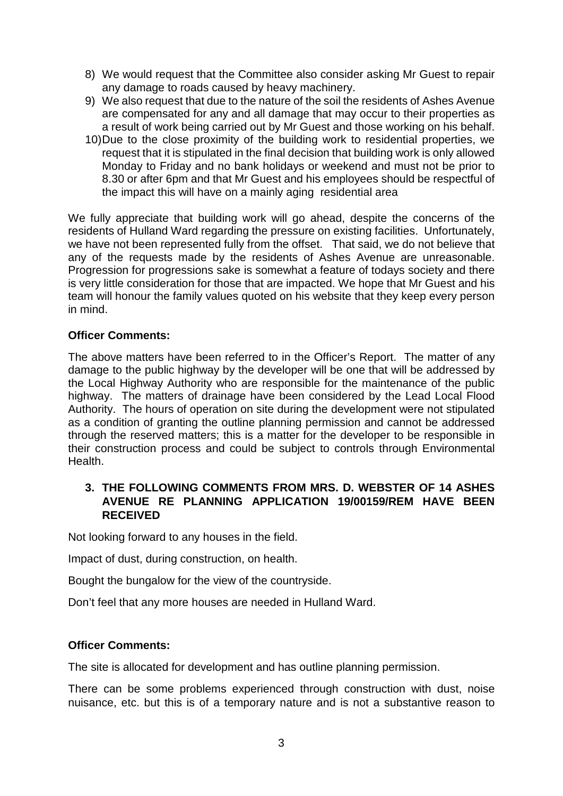- 8) We would request that the Committee also consider asking Mr Guest to repair any damage to roads caused by heavy machinery.
- 9) We also request that due to the nature of the soil the residents of Ashes Avenue are compensated for any and all damage that may occur to their properties as a result of work being carried out by Mr Guest and those working on his behalf.
- 10)Due to the close proximity of the building work to residential properties, we request that it is stipulated in the final decision that building work is only allowed Monday to Friday and no bank holidays or weekend and must not be prior to 8.30 or after 6pm and that Mr Guest and his employees should be respectful of the impact this will have on a mainly aging residential area

We fully appreciate that building work will go ahead, despite the concerns of the residents of Hulland Ward regarding the pressure on existing facilities. Unfortunately, we have not been represented fully from the offset. That said, we do not believe that any of the requests made by the residents of Ashes Avenue are unreasonable. Progression for progressions sake is somewhat a feature of todays society and there is very little consideration for those that are impacted. We hope that Mr Guest and his team will honour the family values quoted on his website that they keep every person in mind.

## **Officer Comments:**

The above matters have been referred to in the Officer's Report. The matter of any damage to the public highway by the developer will be one that will be addressed by the Local Highway Authority who are responsible for the maintenance of the public highway. The matters of drainage have been considered by the Lead Local Flood Authority. The hours of operation on site during the development were not stipulated as a condition of granting the outline planning permission and cannot be addressed through the reserved matters; this is a matter for the developer to be responsible in their construction process and could be subject to controls through Environmental Health.

## **3. THE FOLLOWING COMMENTS FROM MRS. D. WEBSTER OF 14 ASHES AVENUE RE PLANNING APPLICATION 19/00159/REM HAVE BEEN RECEIVED**

Not looking forward to any houses in the field.

Impact of dust, during construction, on health.

Bought the bungalow for the view of the countryside.

Don't feel that any more houses are needed in Hulland Ward.

## **Officer Comments:**

The site is allocated for development and has outline planning permission.

There can be some problems experienced through construction with dust, noise nuisance, etc. but this is of a temporary nature and is not a substantive reason to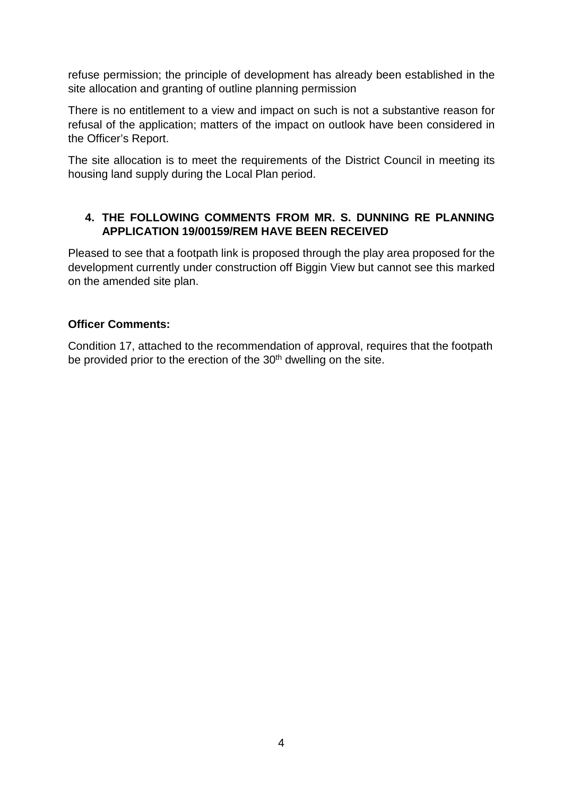refuse permission; the principle of development has already been established in the site allocation and granting of outline planning permission

There is no entitlement to a view and impact on such is not a substantive reason for refusal of the application; matters of the impact on outlook have been considered in the Officer's Report.

The site allocation is to meet the requirements of the District Council in meeting its housing land supply during the Local Plan period.

## **4. THE FOLLOWING COMMENTS FROM MR. S. DUNNING RE PLANNING APPLICATION 19/00159/REM HAVE BEEN RECEIVED**

Pleased to see that a footpath link is proposed through the play area proposed for the development currently under construction off Biggin View but cannot see this marked on the amended site plan.

## **Officer Comments:**

Condition 17, attached to the recommendation of approval, requires that the footpath be provided prior to the erection of the  $30<sup>th</sup>$  dwelling on the site.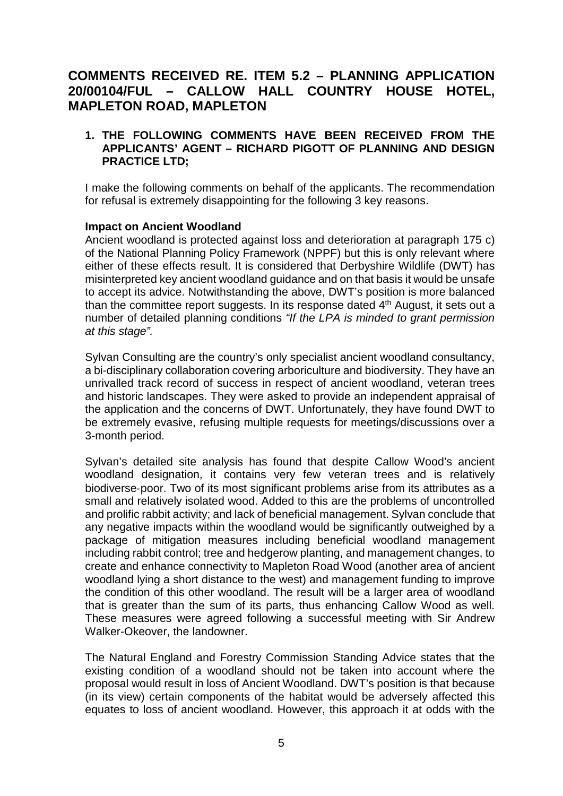# **COMMENTS RECEIVED RE. ITEM 5.2 – PLANNING APPLICATION 20/00104/FUL – CALLOW HALL COUNTRY HOUSE HOTEL, MAPLETON ROAD, MAPLETON**

### **1. THE FOLLOWING COMMENTS HAVE BEEN RECEIVED FROM THE APPLICANTS' AGENT – RICHARD PIGOTT OF PLANNING AND DESIGN PRACTICE LTD;**

I make the following comments on behalf of the applicants. The recommendation for refusal is extremely disappointing for the following 3 key reasons.

#### **Impact on Ancient Woodland**

Ancient woodland is protected against loss and deterioration at paragraph 175 c) of the National Planning Policy Framework (NPPF) but this is only relevant where either of these effects result. It is considered that Derbyshire Wildlife (DWT) has misinterpreted key ancient woodland guidance and on that basis it would be unsafe to accept its advice. Notwithstanding the above, DWT's position is more balanced than the committee report suggests. In its response dated  $4<sup>th</sup>$  August, it sets out a number of detailed planning conditions *"If the LPA is minded to grant permission at this stage".*

Sylvan Consulting are the country's only specialist ancient woodland consultancy, a bi-disciplinary collaboration covering arboriculture and biodiversity. They have an unrivalled track record of success in respect of ancient woodland, veteran trees and historic landscapes. They were asked to provide an independent appraisal of the application and the concerns of DWT. Unfortunately, they have found DWT to be extremely evasive, refusing multiple requests for meetings/discussions over a 3-month period.

Sylvan's detailed site analysis has found that despite Callow Wood's ancient woodland designation, it contains very few veteran trees and is relatively biodiverse‐poor. Two of its most significant problems arise from its attributes as a small and relatively isolated wood. Added to this are the problems of uncontrolled and prolific rabbit activity; and lack of beneficial management. Sylvan conclude that any negative impacts within the woodland would be significantly outweighed by a package of mitigation measures including beneficial woodland management including rabbit control; tree and hedgerow planting, and management changes, to create and enhance connectivity to Mapleton Road Wood (another area of ancient woodland lying a short distance to the west) and management funding to improve the condition of this other woodland. The result will be a larger area of woodland that is greater than the sum of its parts, thus enhancing Callow Wood as well. These measures were agreed following a successful meeting with Sir Andrew Walker-Okeover, the landowner.

The Natural England and Forestry Commission Standing Advice states that the existing condition of a woodland should not be taken into account where the proposal would result in loss of Ancient Woodland. DWT's position is that because (in its view) certain components of the habitat would be adversely affected this equates to loss of ancient woodland. However, this approach it at odds with the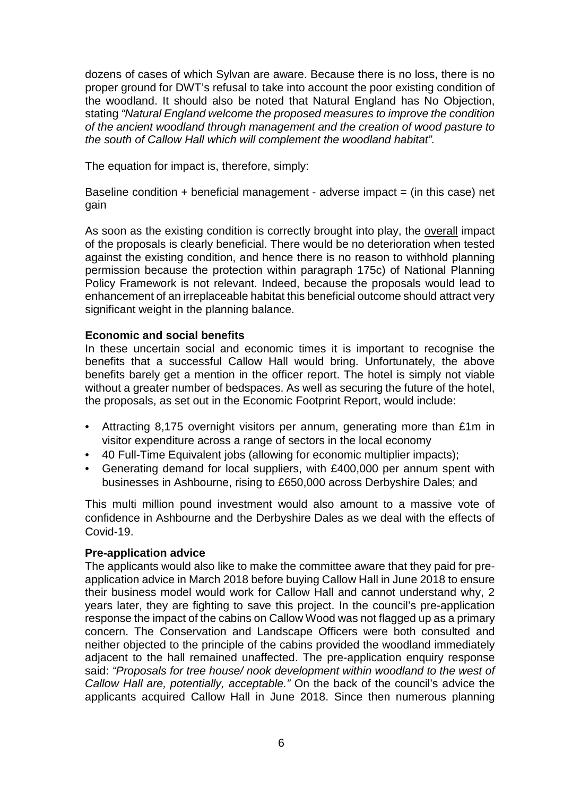dozens of cases of which Sylvan are aware. Because there is no loss, there is no proper ground for DWT's refusal to take into account the poor existing condition of the woodland. It should also be noted that Natural England has No Objection, stating *"Natural England welcome the proposed measures to improve the condition of the ancient woodland through management and the creation of wood pasture to the south of Callow Hall which will complement the woodland habitat".*

The equation for impact is, therefore, simply:

Baseline condition  $+$  beneficial management - adverse impact  $=$  (in this case) net gain

As soon as the existing condition is correctly brought into play, the overall impact of the proposals is clearly beneficial. There would be no deterioration when tested against the existing condition, and hence there is no reason to withhold planning permission because the protection within paragraph 175c) of National Planning Policy Framework is not relevant. Indeed, because the proposals would lead to enhancement of an irreplaceable habitat this beneficial outcome should attract very significant weight in the planning balance.

### **Economic and social benefits**

In these uncertain social and economic times it is important to recognise the benefits that a successful Callow Hall would bring. Unfortunately, the above benefits barely get a mention in the officer report. The hotel is simply not viable without a greater number of bedspaces. As well as securing the future of the hotel, the proposals, as set out in the Economic Footprint Report, would include:

- Attracting 8,175 overnight visitors per annum, generating more than £1m in visitor expenditure across a range of sectors in the local economy
- 40 Full-Time Equivalent jobs (allowing for economic multiplier impacts);
- Generating demand for local suppliers, with £400,000 per annum spent with businesses in Ashbourne, rising to £650,000 across Derbyshire Dales; and

This multi million pound investment would also amount to a massive vote of confidence in Ashbourne and the Derbyshire Dales as we deal with the effects of Covid-19.

#### **Pre-application advice**

The applicants would also like to make the committee aware that they paid for preapplication advice in March 2018 before buying Callow Hall in June 2018 to ensure their business model would work for Callow Hall and cannot understand why, 2 years later, they are fighting to save this project. In the council's pre-application response the impact of the cabins on Callow Wood was not flagged up as a primary concern. The Conservation and Landscape Officers were both consulted and neither objected to the principle of the cabins provided the woodland immediately adjacent to the hall remained unaffected. The pre-application enquiry response said: *"Proposals for tree house/ nook development within woodland to the west of Callow Hall are, potentially, acceptable."* On the back of the council's advice the applicants acquired Callow Hall in June 2018. Since then numerous planning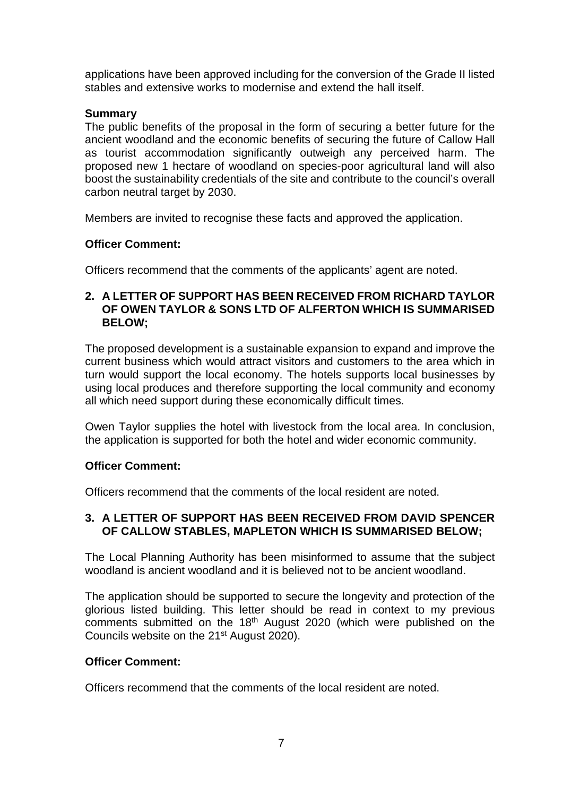applications have been approved including for the conversion of the Grade II listed stables and extensive works to modernise and extend the hall itself.

## **Summary**

The public benefits of the proposal in the form of securing a better future for the ancient woodland and the economic benefits of securing the future of Callow Hall as tourist accommodation significantly outweigh any perceived harm. The proposed new 1 hectare of woodland on species-poor agricultural land will also boost the sustainability credentials of the site and contribute to the council's overall carbon neutral target by 2030.

Members are invited to recognise these facts and approved the application.

## **Officer Comment:**

Officers recommend that the comments of the applicants' agent are noted.

### **2. A LETTER OF SUPPORT HAS BEEN RECEIVED FROM RICHARD TAYLOR OF OWEN TAYLOR & SONS LTD OF ALFERTON WHICH IS SUMMARISED BELOW;**

The proposed development is a sustainable expansion to expand and improve the current business which would attract visitors and customers to the area which in turn would support the local economy. The hotels supports local businesses by using local produces and therefore supporting the local community and economy all which need support during these economically difficult times.

Owen Taylor supplies the hotel with livestock from the local area. In conclusion, the application is supported for both the hotel and wider economic community.

### **Officer Comment:**

Officers recommend that the comments of the local resident are noted.

### **3. A LETTER OF SUPPORT HAS BEEN RECEIVED FROM DAVID SPENCER OF CALLOW STABLES, MAPLETON WHICH IS SUMMARISED BELOW;**

The Local Planning Authority has been misinformed to assume that the subject woodland is ancient woodland and it is believed not to be ancient woodland.

The application should be supported to secure the longevity and protection of the glorious listed building. This letter should be read in context to my previous comments submitted on the 18th August 2020 (which were published on the Councils website on the 21<sup>st</sup> August 2020).

### **Officer Comment:**

Officers recommend that the comments of the local resident are noted.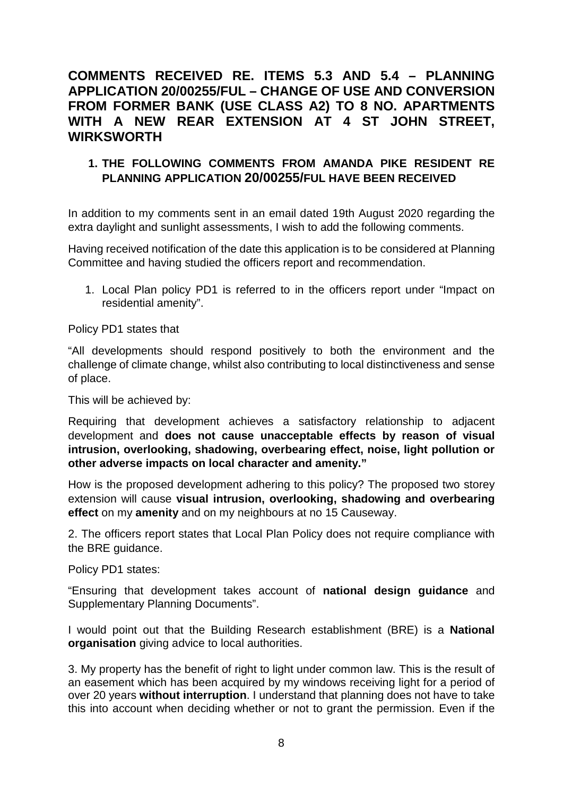# **COMMENTS RECEIVED RE. ITEMS 5.3 AND 5.4 – PLANNING APPLICATION 20/00255/FUL – CHANGE OF USE AND CONVERSION FROM FORMER BANK (USE CLASS A2) TO 8 NO. APARTMENTS WITH A NEW REAR EXTENSION AT 4 ST JOHN STREET, WIRKSWORTH**

## **1. THE FOLLOWING COMMENTS FROM AMANDA PIKE RESIDENT RE PLANNING APPLICATION 20/00255/FUL HAVE BEEN RECEIVED**

In addition to my comments sent in an email dated 19th August 2020 regarding the extra daylight and sunlight assessments, I wish to add the following comments.

Having received notification of the date this application is to be considered at Planning Committee and having studied the officers report and recommendation.

1. Local Plan policy PD1 is referred to in the officers report under "Impact on residential amenity".

Policy PD1 states that

"All developments should respond positively to both the environment and the challenge of climate change, whilst also contributing to local distinctiveness and sense of place.

This will be achieved by:

Requiring that development achieves a satisfactory relationship to adjacent development and **does not cause unacceptable effects by reason of visual intrusion, overlooking, shadowing, overbearing effect, noise, light pollution or other adverse impacts on local character and amenity."**

How is the proposed development adhering to this policy? The proposed two storey extension will cause **visual intrusion, overlooking, shadowing and overbearing effect** on my **amenity** and on my neighbours at no 15 Causeway.

2. The officers report states that Local Plan Policy does not require compliance with the BRE guidance.

Policy PD1 states:

"Ensuring that development takes account of **national design guidance** and Supplementary Planning Documents".

I would point out that the Building Research establishment (BRE) is a **National organisation** giving advice to local authorities.

3. My property has the benefit of right to light under common law. This is the result of an easement which has been acquired by my windows receiving light for a period of over 20 years **without interruption**. I understand that planning does not have to take this into account when deciding whether or not to grant the permission. Even if the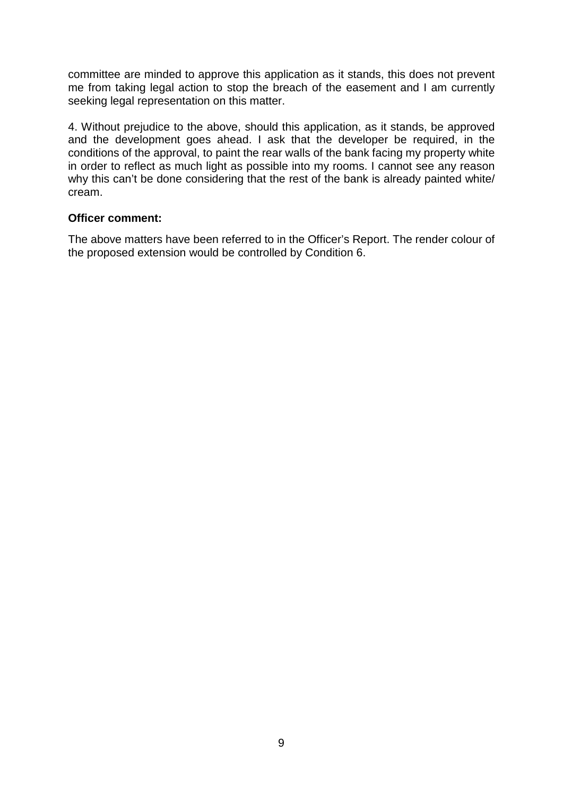committee are minded to approve this application as it stands, this does not prevent me from taking legal action to stop the breach of the easement and I am currently seeking legal representation on this matter.

4. Without prejudice to the above, should this application, as it stands, be approved and the development goes ahead. I ask that the developer be required, in the conditions of the approval, to paint the rear walls of the bank facing my property white in order to reflect as much light as possible into my rooms. I cannot see any reason why this can't be done considering that the rest of the bank is already painted white/ cream.

#### **Officer comment:**

The above matters have been referred to in the Officer's Report. The render colour of the proposed extension would be controlled by Condition 6.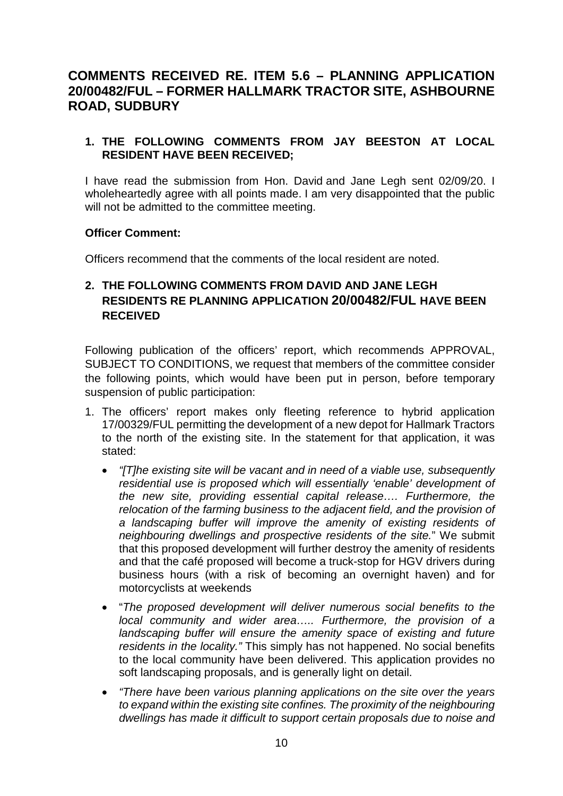# **COMMENTS RECEIVED RE. ITEM 5.6 – PLANNING APPLICATION 20/00482/FUL – FORMER HALLMARK TRACTOR SITE, ASHBOURNE ROAD, SUDBURY**

## **1. THE FOLLOWING COMMENTS FROM JAY BEESTON AT LOCAL RESIDENT HAVE BEEN RECEIVED;**

I have read the submission from Hon. David and Jane Legh sent 02/09/20. I wholeheartedly agree with all points made. I am very disappointed that the public will not be admitted to the committee meeting.

### **Officer Comment:**

Officers recommend that the comments of the local resident are noted.

## **2. THE FOLLOWING COMMENTS FROM DAVID AND JANE LEGH RESIDENTS RE PLANNING APPLICATION 20/00482/FUL HAVE BEEN RECEIVED**

Following publication of the officers' report, which recommends APPROVAL, SUBJECT TO CONDITIONS, we request that members of the committee consider the following points, which would have been put in person, before temporary suspension of public participation:

- 1. The officers' report makes only fleeting reference to hybrid application 17/00329/FUL permitting the development of a new depot for Hallmark Tractors to the north of the existing site. In the statement for that application, it was stated:
	- *"[T]he existing site will be vacant and in need of a viable use, subsequently residential use is proposed which will essentially 'enable' development of the new site, providing essential capital release…. Furthermore, the relocation of the farming business to the adjacent field, and the provision of a landscaping buffer will improve the amenity of existing residents of neighbouring dwellings and prospective residents of the site.*" We submit that this proposed development will further destroy the amenity of residents and that the café proposed will become a truck-stop for HGV drivers during business hours (with a risk of becoming an overnight haven) and for motorcyclists at weekends
	- "*The proposed development will deliver numerous social benefits to the local community and wider area….. Furthermore, the provision of a landscaping buffer will ensure the amenity space of existing and future residents in the locality."* This simply has not happened. No social benefits to the local community have been delivered. This application provides no soft landscaping proposals, and is generally light on detail.
	- *"There have been various planning applications on the site over the years to expand within the existing site confines. The proximity of the neighbouring dwellings has made it difficult to support certain proposals due to noise and*